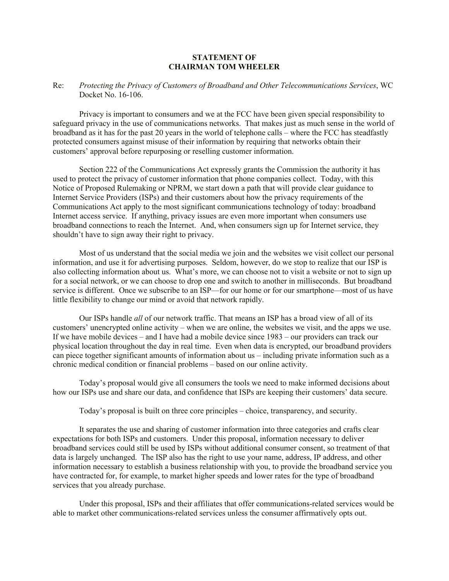## **STATEMENT OF CHAIRMAN TOM WHEELER**

## Re: *Protecting the Privacy of Customers of Broadband and Other Telecommunications Services*, WC Docket No. 16-106.

Privacy is important to consumers and we at the FCC have been given special responsibility to safeguard privacy in the use of communications networks. That makes just as much sense in the world of broadband as it has for the past 20 years in the world of telephone calls – where the FCC has steadfastly protected consumers against misuse of their information by requiring that networks obtain their customers' approval before repurposing or reselling customer information.

Section 222 of the Communications Act expressly grants the Commission the authority it has used to protect the privacy of customer information that phone companies collect. Today, with this Notice of Proposed Rulemaking or NPRM, we start down a path that will provide clear guidance to Internet Service Providers (ISPs) and their customers about how the privacy requirements of the Communications Act apply to the most significant communications technology of today: broadband Internet access service. If anything, privacy issues are even more important when consumers use broadband connections to reach the Internet. And, when consumers sign up for Internet service, they shouldn't have to sign away their right to privacy.

Most of us understand that the social media we join and the websites we visit collect our personal information, and use it for advertising purposes. Seldom, however, do we stop to realize that our ISP is also collecting information about us. What's more, we can choose not to visit a website or not to sign up for a social network, or we can choose to drop one and switch to another in milliseconds. But broadband service is different. Once we subscribe to an ISP—for our home or for our smartphone—most of us have little flexibility to change our mind or avoid that network rapidly.

Our ISPs handle *all* of our network traffic. That means an ISP has a broad view of all of its customers' unencrypted online activity – when we are online, the websites we visit, and the apps we use. If we have mobile devices – and I have had a mobile device since 1983 – our providers can track our physical location throughout the day in real time. Even when data is encrypted, our broadband providers can piece together significant amounts of information about us – including private information such as a chronic medical condition or financial problems – based on our online activity.

Today's proposal would give all consumers the tools we need to make informed decisions about how our ISPs use and share our data, and confidence that ISPs are keeping their customers' data secure.

Today's proposal is built on three core principles – choice, transparency, and security.

It separates the use and sharing of customer information into three categories and crafts clear expectations for both ISPs and customers. Under this proposal, information necessary to deliver broadband services could still be used by ISPs without additional consumer consent, so treatment of that data is largely unchanged. The ISP also has the right to use your name, address, IP address, and other information necessary to establish a business relationship with you, to provide the broadband service you have contracted for, for example, to market higher speeds and lower rates for the type of broadband services that you already purchase.

Under this proposal, ISPs and their affiliates that offer communications-related services would be able to market other communications-related services unless the consumer affirmatively opts out.